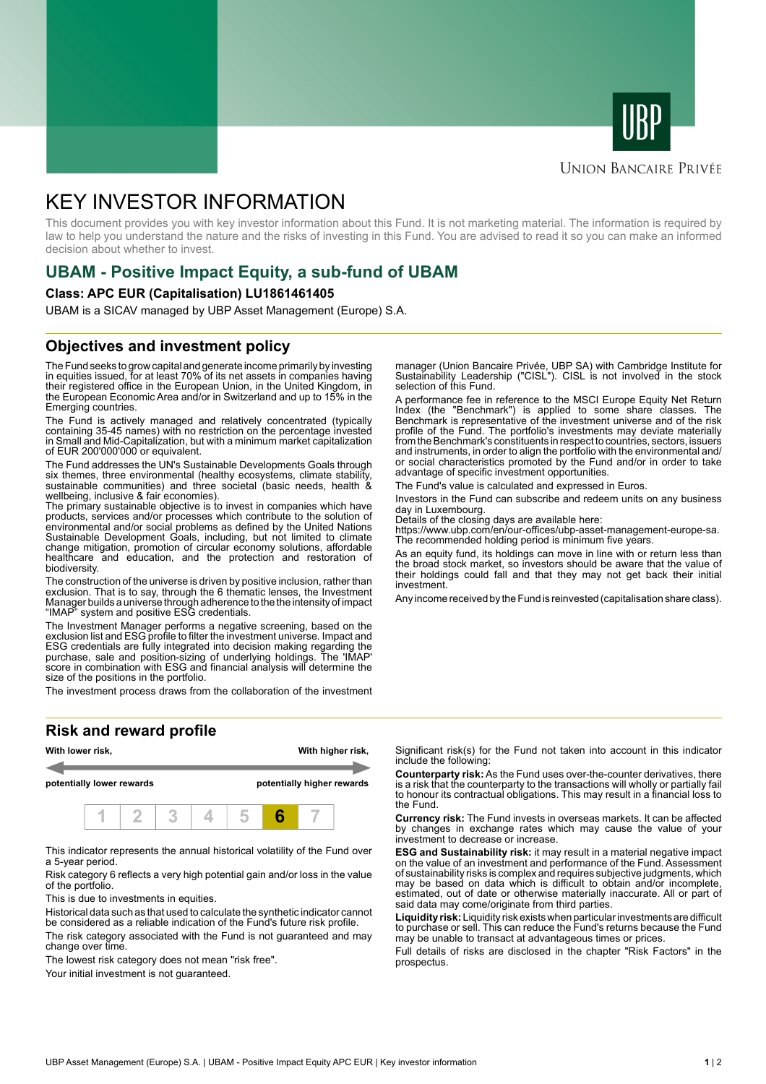



#### **UNION BANCAIRE PRIVÉE**

# KEY INVESTOR INFORMATION

This document provides you with key investor information about this Fund. It is not marketing material. The information is required by law to help you understand the nature and the risks of investing in this Fund. You are advised to read it so you can make an informed decision about whether to invest.

### **UBAM - Positive Impact Equity, a sub-fund of UBAM**

#### **Class: APC EUR (Capitalisation) LU1861461405**

UBAM is a SICAV managed by UBP Asset Management (Europe) S.A.

### **Objectives and investment policy**

The Fund seeks to grow capital and generate income primarily by investing in equities issued, for at least 70% of its net assets in companies having their registered office in the European Union, in the United Kingdom, in the European Economic Area and/or in Switzerland and up to 15% in the Emerging countries.

The Fund is actively managed and relatively concentrated (typically containing 35-45 names) with no restriction on the percentage invested in Small and Mid-Capitalization, but with a minimum market capitalization of EUR 200'000'000 or equivalent.

The Fund addresses the UN's Sustainable Developments Goals through six themes, three environmental (healthy ecosystems, climate stability sustainable communities) and three societal (basic needs, health & wellbeing, inclusive & fair economies).

The primary sustainable objective is to invest in companies which have products, services and/or processes which contribute to the solution of environmental and/or social problems as defined by the United Nations Sustainable Development Goals, including, but not limited to climate change mitigation, promotion of circular economy solutions, affordable healthcare and education, and the protection and restoration of biodiversity.

The construction of the universe is driven by positive inclusion, rather than exclusion. That is to say, through the 6 thematic lenses, the Investment Manager builds a universe through adherence to the the intensity of impact "IMAP" system and positive ESG credentials.

The Investment Manager performs a negative screening, based on the exclusion list and ESG profile to filter the investment universe. Impact and ESG credentials are fully integrated into decision making regarding the purchase, sale and position-sizing of underlying holdings. The 'IMAP' score in combination with ESG and financial analysis will determine the size of the positions in the portfolio.

The investment process draws from the collaboration of the investment

#### **Risk and reward profile**



This indicator represents the annual historical volatility of the Fund over a 5-year period.

Risk category 6 reflects a very high potential gain and/or loss in the value of the portfolio.

This is due to investments in equities.

Historical data such as that used to calculate the synthetic indicator cannot be considered as a reliable indication of the Fund's future risk profile.

The risk category associated with the Fund is not guaranteed and may change over time.

The lowest risk category does not mean "risk free".

Your initial investment is not guaranteed.

manager (Union Bancaire Privée, UBP SA) with Cambridge Institute for Sustainability Leadership ("CISL"). CISL is not involved in the stock selection of this Fund.

A performance fee in reference to the MSCI Europe Equity Net Return Index (the "Benchmark") is applied to some share classes. The Benchmark is representative of the investment universe and of the risk profile of the Fund. The portfolio's investments may deviate materially from the Benchmark's constituents in respect to countries, sectors, issuers and instruments, in order to align the portfolio with the environmental and/ or social characteristics promoted by the Fund and/or in order to take advantage of specific investment opportunities.

The Fund's value is calculated and expressed in Euros.

Investors in the Fund can subscribe and redeem units on any business day in Luxembourg.

Details of the closing days are available here:

https://www.ubp.com/en/our-offices/ubp-asset-management-europe-sa. The recommended holding period is minimum five years.

As an equity fund, its holdings can move in line with or return less than the broad stock market, so investors should be aware that the value of their holdings could fall and that they may not get back their initial investment.

Any income received by the Fund is reinvested (capitalisation share class).

Significant risk(s) for the Fund not taken into account in this indicator include the following:

**Counterparty risk:** As the Fund uses over-the-counter derivatives, there is a risk that the counterparty to the transactions will wholly or partially fail to honour its contractual obligations. This may result in a financial loss to the Fund.

**Currency risk:** The Fund invests in overseas markets. It can be affected by changes in exchange rates which may cause the value of your investment to decrease or increase.

**ESG and Sustainability risk:** it may result in a material negative impact on the value of an investment and performance of the Fund. Assessment of sustainability risks is complex and requires subjective judgments, which may be based on data which is difficult to obtain and/or incomplete, estimated, out of date or otherwise materially inaccurate. All or part of said data may come/originate from third parties.

**Liquidity risk:** Liquidity risk exists when particular investments are difficult to purchase or sell. This can reduce the Fund's returns because the Fund may be unable to transact at advantageous times or prices.

Full details of risks are disclosed in the chapter "Risk Factors" in the prospectus.